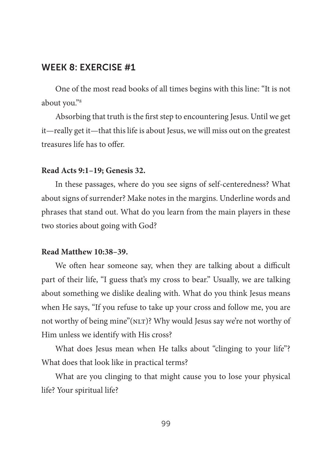One of the most read books of all times begins with this line: "It is not about you."8

Absorbing that truth is the first step to encountering Jesus. Until we get it—really get it—that this life is about Jesus, we will miss out on the greatest treasures life has to offer.

#### **Read Acts 9:1–19; Genesis 32.**

In these passages, where do you see signs of self-centeredness? What about signs of surrender? Make notes in the margins. Underline words and phrases that stand out. What do you learn from the main players in these two stories about going with God?

#### **Read Matthew 10:38–39.**

We often hear someone say, when they are talking about a difficult part of their life, "I guess that's my cross to bear." Usually, we are talking about something we dislike dealing with. What do you think Jesus means when He says, "If you refuse to take up your cross and follow me, you are not worthy of being mine"(NLT)? Why would Jesus say we're not worthy of Him unless we identify with His cross?

What does Jesus mean when He talks about "clinging to your life"? What does that look like in practical terms?

What are you clinging to that might cause you to lose your physical life? Your spiritual life?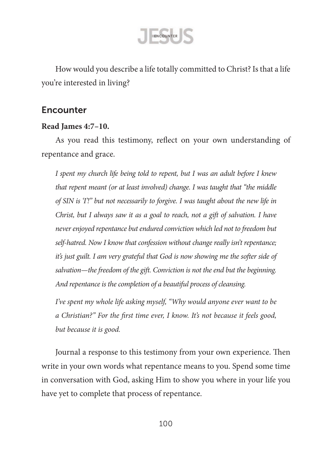

How would you describe a life totally committed to Christ? Is that a life you're interested in living?

## Encounter

#### **Read James 4:7–10.**

As you read this testimony, reflect on your own understanding of repentance and grace.

*I spent my church life being told to repent, but I was an adult before I knew that repent meant (or at least involved) change. I was taught that "the middle of SIN is 'I'!" but not necessarily to forgive. I was taught about the new life in Christ, but I always saw it as a goal to reach, not a gift of salvation. I have never enjoyed repentance but endured conviction which led not to freedom but self-hatred. Now I know that confession without change really isn't repentance;*  it's just guilt. I am very grateful that God is now showing me the softer side of salvation—the freedom of the gift. Conviction is not the end but the beginning. *And repentance is the completion of a beautiful process of cleansing.* 

*I've spent my whole life asking myself, "Why would anyone ever want to be a Christian?" For the first time ever, I know. It's not because it feels good, but because it is good.*

Journal a response to this testimony from your own experience. Then write in your own words what repentance means to you. Spend some time in conversation with God, asking Him to show you where in your life you have yet to complete that process of repentance.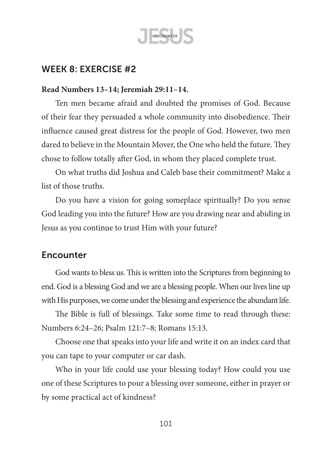

### **Read Numbers 13–14; Jeremiah 29:11–14.**

Ten men became afraid and doubted the promises of God. Because of their fear they persuaded a whole community into disobedience. Their influence caused great distress for the people of God. However, two men dared to believe in the Mountain Mover, the One who held the future. They chose to follow totally after God, in whom they placed complete trust.

On what truths did Joshua and Caleb base their commitment? Make a list of those truths.

Do you have a vision for going someplace spiritually? Do you sense God leading you into the future? How are you drawing near and abiding in Jesus as you continue to trust Him with your future?

# Encounter

God wants to bless us. This is written into the Scriptures from beginning to end. God is a blessing God and we are a blessing people. When our lives line up with His purposes, we come under the blessing and experience the abundant life.

The Bible is full of blessings. Take some time to read through these: Numbers 6:24–26; Psalm 121:7–8; Romans 15:13.

Choose one that speaks into your life and write it on an index card that you can tape to your computer or car dash.

Who in your life could use your blessing today? How could you use one of these Scriptures to pour a blessing over someone, either in prayer or by some practical act of kindness?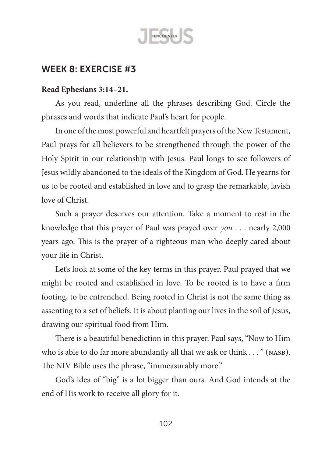

#### **Read Ephesians 3:14–21.**

As you read, underline all the phrases describing God. Circle the phrases and words that indicate Paul's heart for people.

In one of the most powerful and heartfelt prayers of the New Testament, Paul prays for all believers to be strengthened through the power of the Holy Spirit in our relationship with Jesus. Paul longs to see followers of Jesus wildly abandoned to the ideals of the Kingdom of God. He yearns for us to be rooted and established in love and to grasp the remarkable, lavish love of Christ.

Such a prayer deserves our attention. Take a moment to rest in the knowledge that this prayer of Paul was prayed over *you* . . . nearly 2,000 years ago. This is the prayer of a righteous man who deeply cared about your life in Christ.

Let's look at some of the key terms in this prayer. Paul prayed that we might be rooted and established in love. To be rooted is to have a firm footing, to be entrenched. Being rooted in Christ is not the same thing as assenting to a set of beliefs. It is about planting our lives in the soil of Jesus, drawing our spiritual food from Him.

There is a beautiful benediction in this prayer. Paul says, "Now to Him who is able to do far more abundantly all that we ask or think . . . " (NASB). The NIV Bible uses the phrase, "immeasurably more."

God's idea of "big" is a lot bigger than ours. And God intends at the end of His work to receive all glory for it.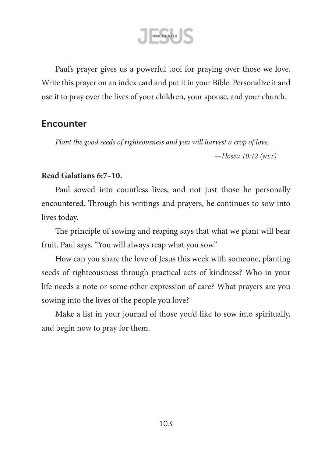ENCOUNTER

Paul's prayer gives us a powerful tool for praying over those we love. Write this prayer on an index card and put it in your Bible. Personalize it and use it to pray over the lives of your children, your spouse, and your church.

## **Encounter**

*Plant the good seeds of righteousness and you will harvest a crop of love.*

*—Hosea 10:12 (nlt)*

### **Read Galatians 6:7–10.**

Paul sowed into countless lives, and not just those he personally encountered. Through his writings and prayers, he continues to sow into lives today.

The principle of sowing and reaping says that what we plant will bear fruit. Paul says, "You will always reap what you sow."

How can you share the love of Jesus this week with someone, planting seeds of righteousness through practical acts of kindness? Who in your life needs a note or some other expression of care? What prayers are you sowing into the lives of the people you love?

Make a list in your journal of those you'd like to sow into spiritually, and begin now to pray for them.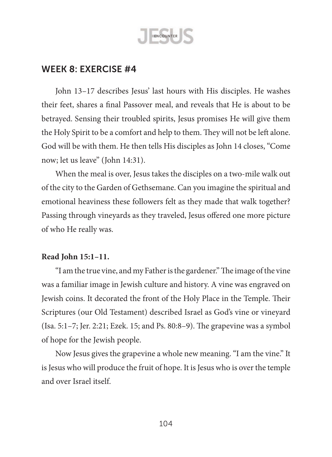

John 13–17 describes Jesus' last hours with His disciples. He washes their feet, shares a final Passover meal, and reveals that He is about to be betrayed. Sensing their troubled spirits, Jesus promises He will give them the Holy Spirit to be a comfort and help to them. They will not be left alone. God will be with them. He then tells His disciples as John 14 closes, "Come now; let us leave" (John 14:31).

When the meal is over, Jesus takes the disciples on a two-mile walk out of the city to the Garden of Gethsemane. Can you imagine the spiritual and emotional heaviness these followers felt as they made that walk together? Passing through vineyards as they traveled, Jesus offered one more picture of who He really was.

### **Read John 15:1–11.**

"I am the true vine, and my Fatheristhe gardener."The image ofthe vine was a familiar image in Jewish culture and history. A vine was engraved on Jewish coins. It decorated the front of the Holy Place in the Temple. Their Scriptures (our Old Testament) described Israel as God's vine or vineyard (Isa. 5:1–7; Jer. 2:21; Ezek. 15; and Ps. 80:8–9). The grapevine was a symbol of hope for the Jewish people.

Now Jesus gives the grapevine a whole new meaning."I am the vine." It is Jesus who will produce the fruit of hope. It is Jesus who is over the temple and over Israel itself.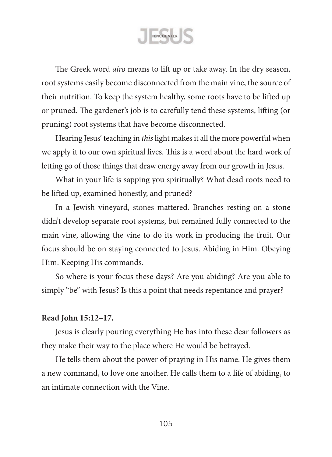ENCOUNTER

The Greek word *airo* means to lift up or take away. In the dry season, root systems easily become disconnected from the main vine, the source of their nutrition. To keep the system healthy, some roots have to be lifted up or pruned. The gardener's job is to carefully tend these systems, lifting (or pruning) root systems that have become disconnected.

Hearing Jesus' teaching in *this* light makes it all the more powerful when we apply it to our own spiritual lives. This is a word about the hard work of letting go of those things that draw energy away from our growth in Jesus.

What in your life is sapping you spiritually? What dead roots need to be lifted up, examined honestly, and pruned?

In a Jewish vineyard, stones mattered. Branches resting on a stone didn't develop separate root systems, but remained fully connected to the main vine, allowing the vine to do its work in producing the fruit. Our focus should be on staying connected to Jesus. Abiding in Him. Obeying Him. Keeping His commands.

So where is your focus these days? Are you abiding? Are you able to simply "be" with Jesus? Is this a point that needs repentance and prayer?

#### **Read John 15:12–17.**

Jesus is clearly pouring everything He has into these dear followers as they make their way to the place where He would be betrayed.

He tells them about the power of praying in His name. He gives them a new command, to love one another. He calls them to a life of abiding, to an intimate connection with the Vine.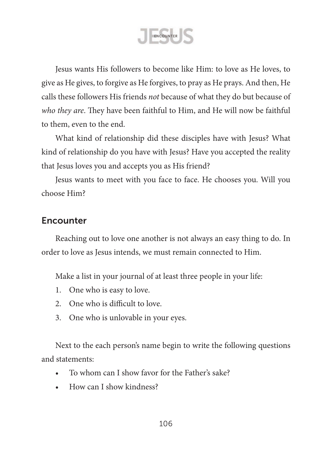ENCOUNTER

Jesus wants His followers to become like Him: to love as He loves, to give as He gives, to forgive as He forgives, to pray as He prays. And then, He calls these followers His friends *not* because of what they do but because of *who they are*. They have been faithful to Him, and He will now be faithful to them, even to the end.

What kind of relationship did these disciples have with Jesus? What kind of relationship do you have with Jesus? Have you accepted the reality that Jesus loves you and accepts you as His friend?

Jesus wants to meet with you face to face. He chooses you. Will you choose Him?

## **Encounter**

Reaching out to love one another is not always an easy thing to do. In order to love as Jesus intends, we must remain connected to Him.

Make a list in your journal of at least three people in your life:

- 1. One who is easy to love.
- 2. One who is difficult to love.
- 3. One who is unlovable in your eyes.

Next to the each person's name begin to write the following questions and statements:

- To whom can I show favor for the Father's sake?
- How can I show kindness?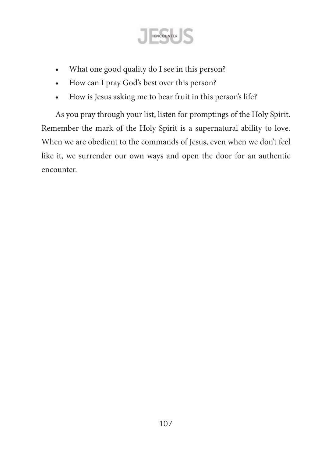

- What one good quality do I see in this person?
- How can I pray God's best over this person?
- How is Jesus asking me to bear fruit in this person's life?

As you pray through your list, listen for promptings of the Holy Spirit. Remember the mark of the Holy Spirit is a supernatural ability to love. When we are obedient to the commands of Jesus, even when we don't feel like it, we surrender our own ways and open the door for an authentic encounter.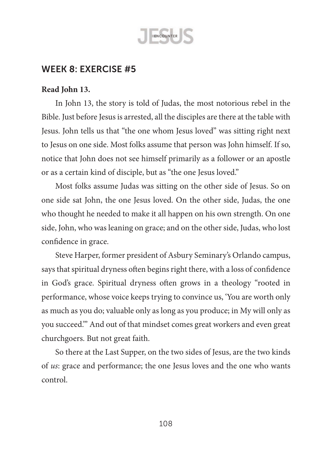

### **Read John 13.**

In John 13, the story is told of Judas, the most notorious rebel in the Bible. Just before Jesusis arrested, all the disciples are there at the table with Jesus. John tells us that "the one whom Jesus loved" was sitting right next to Jesus on one side. Most folks assume that person was John himself. If so, notice that John does not see himself primarily as a follower or an apostle or as a certain kind of disciple, but as "the one Jesus loved."

Most folks assume Judas was sitting on the other side of Jesus. So on one side sat John, the one Jesus loved. On the other side, Judas, the one who thought he needed to make it all happen on his own strength. On one side, John, who was leaning on grace; and on the other side, Judas, who lost confidence in grace.

Steve Harper, former president of Asbury Seminary's Orlando campus, says that spiritual dryness often begins right there, with a loss of confidence in God's grace. Spiritual dryness often grows in a theology "rooted in performance, whose voice keeps trying to convince us, 'You are worth only as much as you do; valuable only as long as you produce; in My will only as you succeed.'" And out of that mindset comes great workers and even great churchgoers. But not great faith.

So there at the Last Supper, on the two sides of Jesus, are the two kinds of *us*: grace and performance; the one Jesus loves and the one who wants control.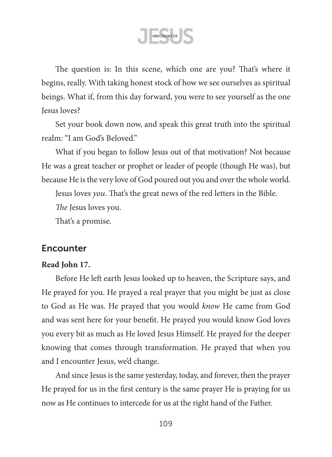ENCOUNTER

The question is: In this scene, which one are you? That's where it begins, really. With taking honest stock of how we see ourselves as spiritual beings. What if, from this day forward, you were to see yourself as the one Jesus loves?

Set your book down now, and speak this great truth into the spiritual realm: "I am God's Beloved."

What if you began to follow Jesus out of that motivation? Not because He was a great teacher or prophet or leader of people (though He was), but because He is the very love of God poured out you and over the whole world.

Jesus loves *you*. That's the great news of the red letters in the Bible.

*The* Jesus loves you.

That's a promise.

## **Encounter**

### **Read John 17.**

Before He left earth Jesus looked up to heaven, the Scripture says, and He prayed for you. He prayed a real prayer that you might be just as close to God as He was. He prayed that you would *know* He came from God and was sent here for your benefit. He prayed you would know God loves you every bit as much as He loved Jesus Himself. He prayed for the deeper knowing that comes through transformation. He prayed that when you and I encounter Jesus, we'd change.

And since Jesus is the same yesterday, today, and forever, then the prayer He prayed for us in the first century is the same prayer He is praying for us now as He continues to intercede for us at the right hand of the Father.